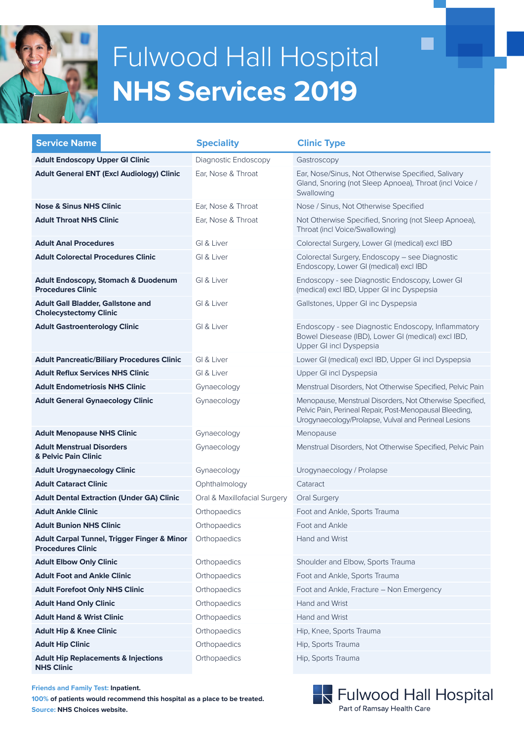

# Fulwood Hall Hospital **NHS Services 2017**

| <b>NHS Services 2019</b>                                                   |                              |                                                                                                                                                                             |  |
|----------------------------------------------------------------------------|------------------------------|-----------------------------------------------------------------------------------------------------------------------------------------------------------------------------|--|
|                                                                            |                              |                                                                                                                                                                             |  |
| <b>Service Name</b>                                                        | <b>Speciality</b>            | <b>Clinic Type</b>                                                                                                                                                          |  |
| <b>Adult Endoscopy Upper GI Clinic</b>                                     | Diagnostic Endoscopy         | Gastroscopy                                                                                                                                                                 |  |
| <b>Adult General ENT (Excl Audiology) Clinic</b>                           | Ear, Nose & Throat           | Ear, Nose/Sinus, Not Otherwise Specified, Salivary<br>Gland, Snoring (not Sleep Apnoea), Throat (incl Voice /<br>Swallowing                                                 |  |
| <b>Nose &amp; Sinus NHS Clinic</b>                                         | Ear, Nose & Throat           | Nose / Sinus, Not Otherwise Specified                                                                                                                                       |  |
| <b>Adult Throat NHS Clinic</b>                                             | Ear, Nose & Throat           | Not Otherwise Specified, Snoring (not Sleep Apnoea),<br>Throat (incl Voice/Swallowing)                                                                                      |  |
| <b>Adult Anal Procedures</b>                                               | GI & Liver                   | Colorectal Surgery, Lower GI (medical) excl IBD                                                                                                                             |  |
| <b>Adult Colorectal Procedures Clinic</b>                                  | GI & Liver                   | Colorectal Surgery, Endoscopy - see Diagnostic<br>Endoscopy, Lower GI (medical) excl IBD                                                                                    |  |
| <b>Adult Endoscopy, Stomach &amp; Duodenum</b><br><b>Procedures Clinic</b> | GI & Liver                   | Endoscopy - see Diagnostic Endoscopy, Lower GI<br>(medical) excl IBD, Upper GI inc Dyspepsia                                                                                |  |
| <b>Adult Gall Bladder, Gallstone and</b><br><b>Cholecystectomy Clinic</b>  | GI & Liver                   | Gallstones, Upper GI inc Dyspepsia                                                                                                                                          |  |
| <b>Adult Gastroenterology Clinic</b>                                       | GI & Liver                   | Endoscopy - see Diagnostic Endoscopy, Inflammatory<br>Bowel Diesease (IBD), Lower GI (medical) excl IBD,<br>Upper GI incl Dyspepsia                                         |  |
| <b>Adult Pancreatic/Biliary Procedures Clinic</b>                          | GI & Liver                   | Lower GI (medical) excl IBD, Upper GI incl Dyspepsia                                                                                                                        |  |
| <b>Adult Reflux Services NHS Clinic</b>                                    | GI & Liver                   | Upper GI incl Dyspepsia                                                                                                                                                     |  |
| <b>Adult Endometriosis NHS Clinic</b>                                      | Gynaecology                  | Menstrual Disorders, Not Otherwise Specified, Pelvic Pain                                                                                                                   |  |
| <b>Adult General Gynaecology Clinic</b>                                    | Gynaecology                  | Menopause, Menstrual Disorders, Not Otherwise Specified,<br>Pelvic Pain, Perineal Repair, Post-Menopausal Bleeding,<br>Urogynaecology/Prolapse, Vulval and Perineal Lesions |  |
| <b>Adult Menopause NHS Clinic</b>                                          | Gynaecology                  | Menopause                                                                                                                                                                   |  |
| <b>Adult Menstrual Disorders</b><br>& Pelvic Pain Clinic                   | Gynaecology                  | Menstrual Disorders, Not Otherwise Specified, Pelvic Pain                                                                                                                   |  |
| <b>Adult Urogynaecology Clinic</b>                                         | Gynaecology                  | Urogynaecology / Prolapse                                                                                                                                                   |  |
| <b>Adult Cataract Clinic</b>                                               | Ophthalmology                | Cataract                                                                                                                                                                    |  |
| <b>Adult Dental Extraction (Under GA) Clinic</b>                           | Oral & Maxillofacial Surgery | <b>Oral Surgery</b>                                                                                                                                                         |  |
| <b>Adult Ankle Clinic</b>                                                  | Orthopaedics                 | Foot and Ankle, Sports Trauma                                                                                                                                               |  |
| <b>Adult Bunion NHS Clinic</b>                                             | Orthopaedics                 | Foot and Ankle                                                                                                                                                              |  |
| Adult Carpal Tunnel, Trigger Finger & Minor<br><b>Procedures Clinic</b>    | Orthopaedics                 | Hand and Wrist                                                                                                                                                              |  |
| <b>Adult Elbow Only Clinic</b>                                             | Orthopaedics                 | Shoulder and Elbow, Sports Trauma                                                                                                                                           |  |
| <b>Adult Foot and Ankle Clinic</b>                                         | Orthopaedics                 | Foot and Ankle, Sports Trauma                                                                                                                                               |  |
| <b>Adult Forefoot Only NHS Clinic</b>                                      | Orthopaedics                 | Foot and Ankle, Fracture - Non Emergency                                                                                                                                    |  |
| <b>Adult Hand Only Clinic</b>                                              | Orthopaedics                 | Hand and Wrist                                                                                                                                                              |  |
| <b>Adult Hand &amp; Wrist Clinic</b>                                       | Orthopaedics                 | Hand and Wrist                                                                                                                                                              |  |
| <b>Adult Hip &amp; Knee Clinic</b>                                         | Orthopaedics                 | Hip, Knee, Sports Trauma                                                                                                                                                    |  |
| <b>Adult Hip Clinic</b>                                                    | Orthopaedics                 | Hip, Sports Trauma                                                                                                                                                          |  |
| <b>Adult Hip Replacements &amp; Injections</b><br><b>NHS Clinic</b>        | Orthopaedics                 | Hip, Sports Trauma                                                                                                                                                          |  |
| <b>Friends and Family Test: Inpatient.</b>                                 |                              | .                                                                                                                                                                           |  |

**100% of patients would recommend this hospital as a place to be treated. Source: NHS Choices website.**